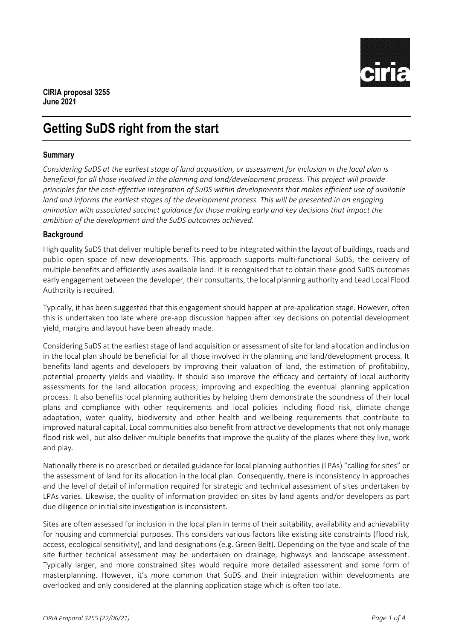

# **Getting SuDS right from the start**

## **Summary**

*Considering SuDS at the earliest stage of land acquisition, or assessment for inclusion in the local plan is beneficial for all those involved in the planning and land/development process. This project will provide principles for the cost-effective integration of SuDS within developments that makes efficient use of available land and informs the earliest stages of the development process. This will be presented in an engaging animation with associated succinct guidance for those making early and key decisions that impact the ambition of the development and the SuDS outcomes achieved.*

#### **Background**

High quality SuDS that deliver multiple benefits need to be integrated within the layout of buildings, roads and public open space of new developments. This approach supports multi-functional SuDS, the delivery of multiple benefits and efficiently uses available land. It is recognised that to obtain these good SuDS outcomes early engagement between the developer, their consultants, the local planning authority and Lead Local Flood Authority is required.

Typically, it has been suggested that this engagement should happen at pre-application stage. However, often this is undertaken too late where pre-app discussion happen after key decisions on potential development yield, margins and layout have been already made.

Considering SuDS at the earliest stage of land acquisition or assessment of site for land allocation and inclusion in the local plan should be beneficial for all those involved in the planning and land/development process. It benefits land agents and developers by improving their valuation of land, the estimation of profitability, potential property yields and viability. It should also improve the efficacy and certainty of local authority assessments for the land allocation process; improving and expediting the eventual planning application process. It also benefits local planning authorities by helping them demonstrate the soundness of their local plans and compliance with other requirements and local policies including flood risk, climate change adaptation, water quality, biodiversity and other health and wellbeing requirements that contribute to improved natural capital. Local communities also benefit from attractive developments that not only manage flood risk well, but also deliver multiple benefits that improve the quality of the places where they live, work and play.

Nationally there is no prescribed or detailed guidance for local planning authorities (LPAs) "calling for sites" or the assessment of land for its allocation in the local plan. Consequently, there is inconsistency in approaches and the level of detail of information required for strategic and technical assessment of sites undertaken by LPAs varies. Likewise, the quality of information provided on sites by land agents and/or developers as part due diligence or initial site investigation is inconsistent.

Sites are often assessed for inclusion in the local plan in terms of their suitability, availability and achievability for housing and commercial purposes. This considers various factors like existing site constraints (flood risk, access, ecological sensitivity), and land designations (e.g. Green Belt). Depending on the type and scale of the site further technical assessment may be undertaken on drainage, highways and landscape assessment. Typically larger, and more constrained sites would require more detailed assessment and some form of masterplanning. However, it's more common that SuDS and their integration within developments are overlooked and only considered at the planning application stage which is often too late.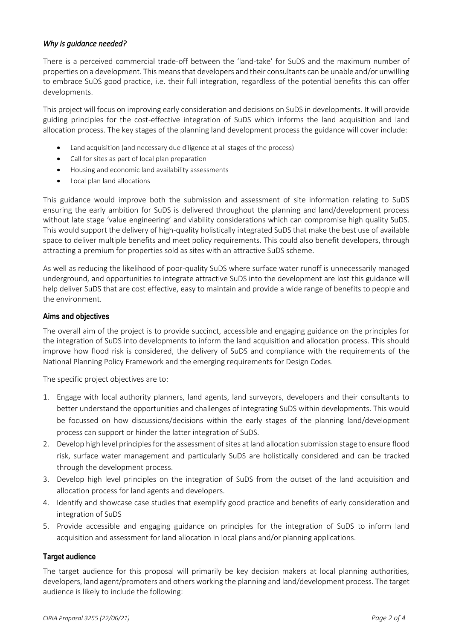#### *Why is guidance needed?*

There is a perceived commercial trade-off between the 'land-take' for SuDS and the maximum number of properties on a development. This means that developers and their consultants can be unable and/or unwilling to embrace SuDS good practice, i.e. their full integration, regardless of the potential benefits this can offer developments.

This project will focus on improving early consideration and decisions on SuDS in developments. It will provide guiding principles for the cost-effective integration of SuDS which informs the land acquisition and land allocation process. The key stages of the planning land development process the guidance will cover include:

- Land acquisition (and necessary due diligence at all stages of the process)
- Call for sites as part of local plan preparation
- Housing and economic land availability assessments
- Local plan land allocations

This guidance would improve both the submission and assessment of site information relating to SuDS ensuring the early ambition for SuDS is delivered throughout the planning and land/development process without late stage 'value engineering' and viability considerations which can compromise high quality SuDS. This would support the delivery of high-quality holistically integrated SuDS that make the best use of available space to deliver multiple benefits and meet policy requirements. This could also benefit developers, through attracting a premium for properties sold as sites with an attractive SuDS scheme.

As well as reducing the likelihood of poor-quality SuDS where surface water runoff is unnecessarily managed underground, and opportunities to integrate attractive SuDS into the development are lost this guidance will help deliver SuDS that are cost effective, easy to maintain and provide a wide range of benefits to people and the environment.

#### **Aims and objectives**

The overall aim of the project is to provide succinct, accessible and engaging guidance on the principles for the integration of SuDS into developments to inform the land acquisition and allocation process. This should improve how flood risk is considered, the delivery of SuDS and compliance with the requirements of the National Planning Policy Framework and the emerging requirements for Design Codes.

The specific project objectives are to:

- 1. Engage with local authority planners, land agents, land surveyors, developers and their consultants to better understand the opportunities and challenges of integrating SuDS within developments. This would be focussed on how discussions/decisions within the early stages of the planning land/development process can support or hinder the latter integration of SuDS.
- 2. Develop high level principles for the assessment of sites at land allocation submission stage to ensure flood risk, surface water management and particularly SuDS are holistically considered and can be tracked through the development process.
- 3. Develop high level principles on the integration of SuDS from the outset of the land acquisition and allocation process for land agents and developers.
- 4. Identify and showcase case studies that exemplify good practice and benefits of early consideration and integration of SuDS
- 5. Provide accessible and engaging guidance on principles for the integration of SuDS to inform land acquisition and assessment for land allocation in local plans and/or planning applications.

#### **Target audience**

The target audience for this proposal will primarily be key decision makers at local planning authorities, developers, land agent/promoters and others working the planning and land/development process. The target audience is likely to include the following: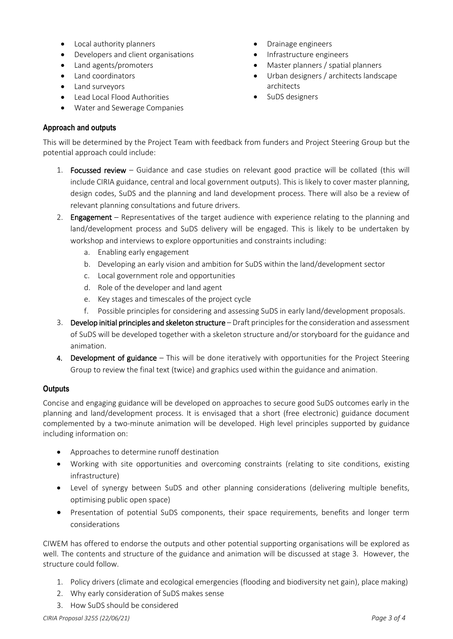- Local authority planners
- Developers and client organisations
- Land agents/promoters
- Land coordinators
- Land surveyors
- Lead Local Flood Authorities
- Water and Sewerage Companies
- Drainage engineers
- Infrastructure engineers
- Master planners / spatial planners
- Urban designers / architects landscape architects
- SuDS designers

## **Approach and outputs**

This will be determined by the Project Team with feedback from funders and Project Steering Group but the potential approach could include:

- 1. Focussed review Guidance and case studies on relevant good practice will be collated (this will include CIRIA guidance, central and local government outputs). This is likely to cover master planning, design codes, SuDS and the planning and land development process. There will also be a review of relevant planning consultations and future drivers.
- 2. Engagement Representatives of the target audience with experience relating to the planning and land/development process and SuDS delivery will be engaged. This is likely to be undertaken by workshop and interviews to explore opportunities and constraints including:
	- a. Enabling early engagement
	- b. Developing an early vision and ambition for SuDS within the land/development sector
	- c. Local government role and opportunities
	- d. Role of the developer and land agent
	- e. Key stages and timescales of the project cycle
	- f. Possible principles for considering and assessing SuDS in early land/development proposals.
- 3. Develop initial principles and skeleton structure Draft principles for the consideration and assessment of SuDS will be developed together with a skeleton structure and/or storyboard for the guidance and animation.
- 4. Development of guidance This will be done iteratively with opportunities for the Project Steering Group to review the final text (twice) and graphics used within the guidance and animation.

# **Outputs**

Concise and engaging guidance will be developed on approaches to secure good SuDS outcomes early in the planning and land/development process. It is envisaged that a short (free electronic) guidance document complemented by a two-minute animation will be developed. High level principles supported by guidance including information on:

- Approaches to determine runoff destination
- Working with site opportunities and overcoming constraints (relating to site conditions, existing infrastructure)
- Level of synergy between SuDS and other planning considerations (delivering multiple benefits, optimising public open space)
- Presentation of potential SuDS components, their space requirements, benefits and longer term considerations

CIWEM has offered to endorse the outputs and other potential supporting organisations will be explored as well. The contents and structure of the guidance and animation will be discussed at stage 3. However, the structure could follow.

- 1. Policy drivers (climate and ecological emergencies (flooding and biodiversity net gain), place making)
- 2. Why early consideration of SuDS makes sense
- 3. How SuDS should be considered